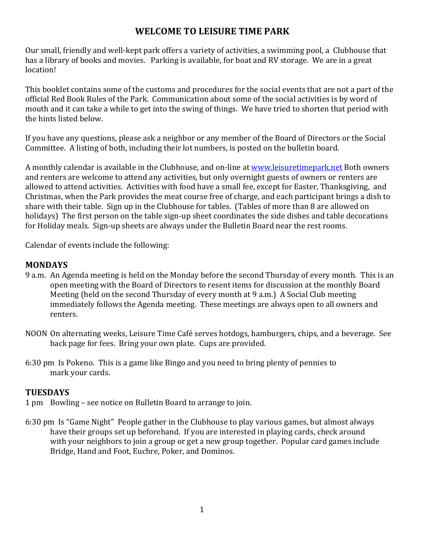# **WELCOME TO LEISURE TIME PARK**

Our small, friendly and well-kept park offers a variety of activities, a swimming pool, a Clubhouse that has a library of books and movies. Parking is available, for boat and RV storage. We are in a great location!

This booklet contains some of the customs and procedures for the social events that are not a part of the official Red Book Rules of the Park. Communication about some of the social activities is by word of mouth and it can take a while to get into the swing of things. We have tried to shorten that period with the hints listed below.

If you have any questions, please ask a neighbor or any member of the Board of Directors or the Social Committee. A listing of both, including their lot numbers, is posted on the bulletin board.

A monthly calendar is available in the Clubhouse, and on-line at www.leisuretimepark.net Both owners and renters are welcome to attend any activities, but only overnight guests of owners or renters are allowed to attend activities. Activities with food have a small fee, except for Easter, Thanksgiving, and Christmas, when the Park provides the meat course free of charge, and each participant brings a dish to share with their table. Sign up in the Clubhouse for tables. (Tables of more than 8 are allowed on holidays) The first person on the table sign-up sheet coordinates the side dishes and table decorations for Holiday meals. Sign-up sheets are always under the Bulletin Board near the rest rooms.

Calendar of events include the following:

### **MONDAYS**

- 9 a.m. An Agenda meeting is held on the Monday before the second Thursday of every month. This is an open meeting with the Board of Directors to resent items for discussion at the monthly Board Meeting (held on the second Thursday of every month at  $9$  a.m.) A Social Club meeting immediately follows the Agenda meeting. These meetings are always open to all owners and renters.
- NOON On alternating weeks, Leisure Time Café serves hotdogs, hamburgers, chips, and a beverage. See back page for fees. Bring your own plate. Cups are provided.
- 6:30 pm Is Pokeno. This is a game like Bingo and you need to bring plenty of pennies to mark your cards.

## **TUESDAYS**

- 1 pm Bowling see notice on Bulletin Board to arrange to join.
- 6:30 pm Is "Game Night" People gather in the Clubhouse to play various games, but almost always have their groups set up beforehand. If you are interested in playing cards, check around with your neighbors to join a group or get a new group together. Popular card games include Bridge, Hand and Foot, Euchre, Poker, and Dominos.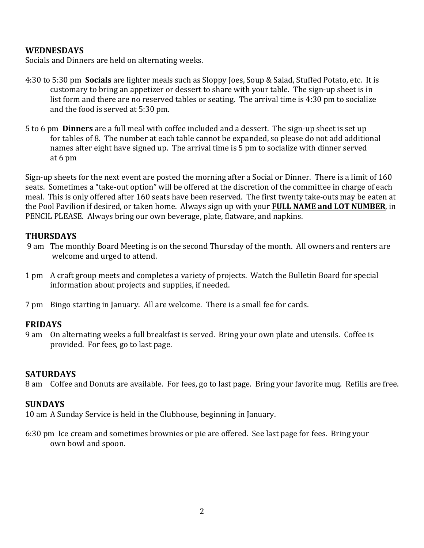### **WEDNESDAYS**

Socials and Dinners are held on alternating weeks.

- 4:30 to 5:30 pm **Socials** are lighter meals such as Sloppy Joes, Soup & Salad, Stuffed Potato, etc. It is customary to bring an appetizer or dessert to share with your table. The sign-up sheet is in list form and there are no reserved tables or seating. The arrival time is  $4:30$  pm to socialize and the food is served at 5:30 pm.
- 5 to 6 pm **Dinners** are a full meal with coffee included and a dessert. The sign-up sheet is set up for tables of 8. The number at each table cannot be expanded, so please do not add additional names after eight have signed up. The arrival time is 5 pm to socialize with dinner served at 6 pm

Sign-up sheets for the next event are posted the morning after a Social or Dinner. There is a limit of 160 seats. Sometimes a "take-out option" will be offered at the discretion of the committee in charge of each meal. This is only offered after 160 seats have been reserved. The first twenty take-outs may be eaten at the Pool Pavilion if desired, or taken home. Always sign up with your **FULL NAME and LOT NUMBER**, in PENCIL PLEASE. Always bring our own beverage, plate, flatware, and napkins.

### **THURSDAYS**

- 9 am The monthly Board Meeting is on the second Thursday of the month. All owners and renters are welcome and urged to attend.
- 1 pm A craft group meets and completes a variety of projects. Watch the Bulletin Board for special information about projects and supplies, if needed.
- 7 pm Bingo starting in January. All are welcome. There is a small fee for cards.

### **FRIDAYS**

9 am On alternating weeks a full breakfast is served. Bring your own plate and utensils. Coffee is provided. For fees, go to last page.

#### **SATURDAYS**

8 am Coffee and Donuts are available. For fees, go to last page. Bring your favorite mug. Refills are free.

### **SUNDAYS**

10 am A Sunday Service is held in the Clubhouse, beginning in January.

6:30 pm Ice cream and sometimes brownies or pie are offered. See last page for fees. Bring your own bowl and spoon.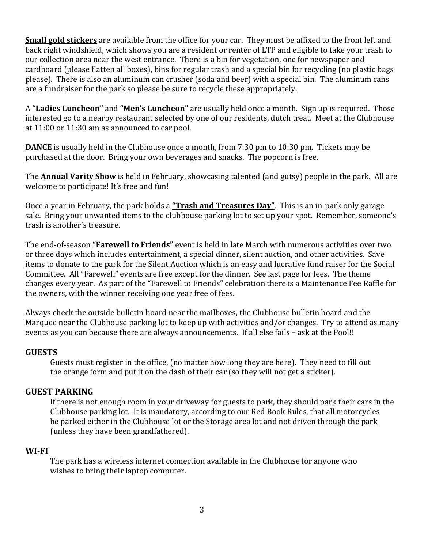**Small gold stickers** are available from the office for your car. They must be affixed to the front left and back right windshield, which shows you are a resident or renter of LTP and eligible to take your trash to our collection area near the west entrance. There is a bin for vegetation, one for newspaper and cardboard (please flatten all boxes), bins for regular trash and a special bin for recycling (no plastic bags please). There is also an aluminum can crusher (soda and beer) with a special bin. The aluminum cans are a fundraiser for the park so please be sure to recycle these appropriately.

A "Ladies Luncheon" and "Men's Luncheon" are usually held once a month. Sign up is required. Those interested go to a nearby restaurant selected by one of our residents, dutch treat. Meet at the Clubhouse at  $11:00$  or  $11:30$  am as announced to car pool.

**DANCE** is usually held in the Clubhouse once a month, from 7:30 pm to 10:30 pm. Tickets may be purchased at the door. Bring your own beverages and snacks. The popcorn is free.

The **Annual Varity Show** is held in February, showcasing talented (and gutsy) people in the park. All are welcome to participate! It's free and fun!

Once a year in February, the park holds a **"Trash and Treasures Day"**. This is an in-park only garage sale. Bring your unwanted items to the clubhouse parking lot to set up your spot. Remember, someone's trash is another's treasure.

The end-of-season **"Farewell to Friends"** event is held in late March with numerous activities over two or three days which includes entertainment, a special dinner, silent auction, and other activities. Save items to donate to the park for the Silent Auction which is an easy and lucrative fund raiser for the Social Committee. All "Farewell" events are free except for the dinner. See last page for fees. The theme changes every year. As part of the "Farewell to Friends" celebration there is a Maintenance Fee Raffle for the owners, with the winner receiving one year free of fees.

Always check the outside bulletin board near the mailboxes, the Clubhouse bulletin board and the Marquee near the Clubhouse parking lot to keep up with activities and/or changes. Try to attend as many events as you can because there are always announcements. If all else fails – ask at the Pool!!

### **GUESTS**

Guests must register in the office, (no matter how long they are here). They need to fill out the orange form and put it on the dash of their car (so they will not get a sticker).

## **GUEST PARKING**

If there is not enough room in your driveway for guests to park, they should park their cars in the Clubhouse parking lot. It is mandatory, according to our Red Book Rules, that all motorcycles be parked either in the Clubhouse lot or the Storage area lot and not driven through the park (unless they have been grandfathered).

### **WI-FI**

The park has a wireless internet connection available in the Clubhouse for anyone who wishes to bring their laptop computer.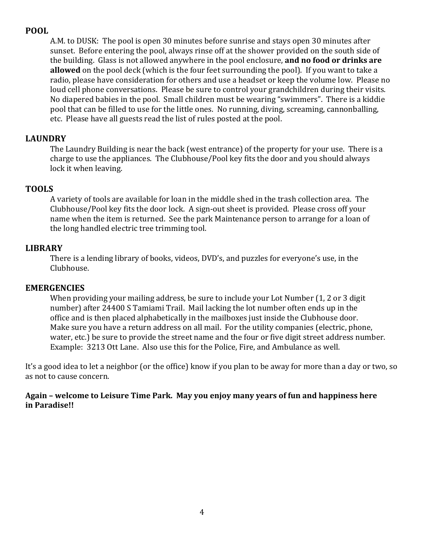# **POOL**

A.M. to DUSK: The pool is open 30 minutes before sunrise and stays open 30 minutes after sunset. Before entering the pool, always rinse off at the shower provided on the south side of the building. Glass is not allowed anywhere in the pool enclosure, and no food or drinks are **allowed** on the pool deck (which is the four feet surrounding the pool). If you want to take a radio, please have consideration for others and use a headset or keep the volume low. Please no loud cell phone conversations. Please be sure to control your grandchildren during their visits. No diapered babies in the pool. Small children must be wearing "swimmers". There is a kiddie pool that can be filled to use for the little ones. No running, diving, screaming, cannonballing, etc. Please have all guests read the list of rules posted at the pool.

## **LAUNDRY**

The Laundry Building is near the back (west entrance) of the property for your use. There is a charge to use the appliances. The Clubhouse/Pool key fits the door and you should always lock it when leaving.

## **TOOLS**

A variety of tools are available for loan in the middle shed in the trash collection area. The Clubhouse/Pool key fits the door lock. A sign-out sheet is provided. Please cross off your name when the item is returned. See the park Maintenance person to arrange for a loan of the long handled electric tree trimming tool.

# **LIBRARY**

There is a lending library of books, videos, DVD's, and puzzles for everyone's use, in the Clubhouse.

## **EMERGENCIES**

When providing your mailing address, be sure to include your Lot Number (1, 2 or 3 digit number) after 24400 S Tamiami Trail. Mail lacking the lot number often ends up in the office and is then placed alphabetically in the mailboxes just inside the Clubhouse door. Make sure you have a return address on all mail. For the utility companies (electric, phone, water, etc.) be sure to provide the street name and the four or five digit street address number. Example: 3213 Ott Lane. Also use this for the Police, Fire, and Ambulance as well.

It's a good idea to let a neighbor (or the office) know if you plan to be away for more than a day or two, so as not to cause concern.

Again – welcome to Leisure Time Park. May you enjoy many years of fun and happiness here **in Paradise!!**